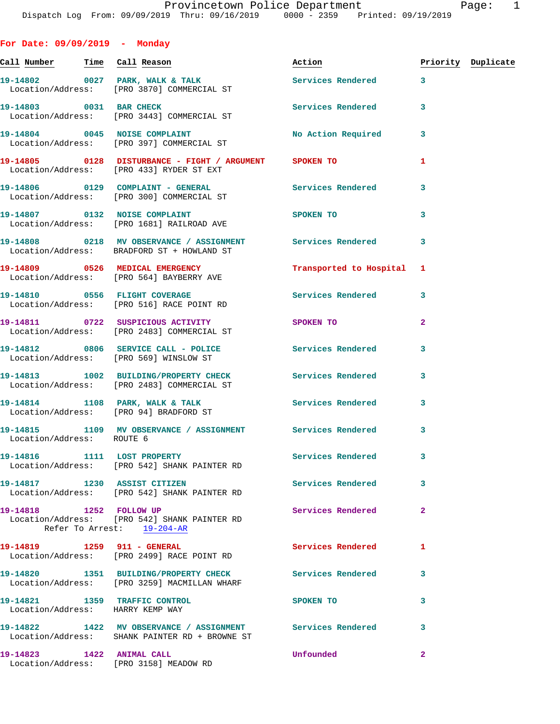**For Date: 09/09/2019 - Monday**

Call Number Time Call Reason **Reason Action Action** Priority Duplicate 19-14802 0027 PARK, WALK & TALK 3 Services Rendered 3 Location/Address: [PRO 3870] COMMERCIAL ST **19-14803 0031 BAR CHECK Services Rendered 3**  Location/Address: [PRO 3443] COMMERCIAL ST **19-14804 0045 NOISE COMPLAINT No Action Required 3**  Location/Address: [PRO 397] COMMERCIAL ST **19-14805 0128 DISTURBANCE - FIGHT / ARGUMENT SPOKEN TO 1**  Location/Address: [PRO 433] RYDER ST EXT **19-14806 0129 COMPLAINT - GENERAL Services Rendered 3**  Location/Address: [PRO 300] COMMERCIAL ST **19-14807 0132 NOISE COMPLAINT SPOKEN TO 3**  Location/Address: [PRO 1681] RAILROAD AVE **19-14808 0218 MV OBSERVANCE / ASSIGNMENT Services Rendered 3**  Location/Address: BRADFORD ST + HOWLAND ST **19-14809 0526 MEDICAL EMERGENCY Transported to Hospital 1**  Location/Address: [PRO 564] BAYBERRY AVE 19-14810 **0556** FLIGHT COVERAGE **Services** Rendered 3 Location/Address: [PRO 516] RACE POINT RD **19-14811 0722 SUSPICIOUS ACTIVITY SPOKEN TO 2**  Location/Address: [PRO 2483] COMMERCIAL ST **19-14812 0806 SERVICE CALL - POLICE Services Rendered 3**  Location/Address: [PRO 569] WINSLOW ST **19-14813 1002 BUILDING/PROPERTY CHECK Services Rendered 3**  Location/Address: [PRO 2483] COMMERCIAL ST 19-14814 1108 PARK, WALK & TALK **Services Rendered** 3 Location/Address: [PRO 94] BRADFORD ST **19-14815 1109 MV OBSERVANCE / ASSIGNMENT Services Rendered 3**  Location/Address: ROUTE 6 **19-14816 1111 LOST PROPERTY Services Rendered 3**  Location/Address: [PRO 542] SHANK PAINTER RD **19-14817 1230 ASSIST CITIZEN Services Rendered 3**  Location/Address: [PRO 542] SHANK PAINTER RD **19-14818 1252 FOLLOW UP Services Rendered 2**  Location/Address: [PRO 542] SHANK PAINTER RD Refer To Arrest: 19-204-AR **19-14819 1259 911 - GENERAL Services Rendered 1**  Location/Address: [PRO 2499] RACE POINT RD **19-14820 1351 BUILDING/PROPERTY CHECK Services Rendered 3**  Location/Address: [PRO 3259] MACMILLAN WHARF **19-14821 1359 TRAFFIC CONTROL SPOKEN TO 3**  Location/Address: HARRY KEMP WAY **19-14822 1422 MV OBSERVANCE / ASSIGNMENT Services Rendered 3**  Location/Address: SHANK PAINTER RD + BROWNE ST

**19-14823 1422 ANIMAL CALL Unfounded 2**  Location/Address: [PRO 3158] MEADOW RD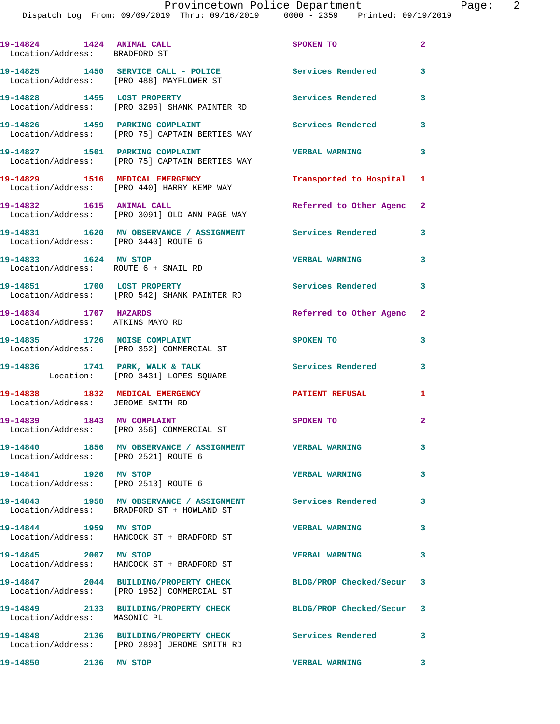**19-14824 1424 ANIMAL CALL SPOKEN TO 2**  Location/Address: BRADFORD ST **19-14825 1450 SERVICE CALL - POLICE Services Rendered 3**  Location/Address: [PRO 488] MAYFLOWER ST **19-14828 1455 LOST PROPERTY Services Rendered 3**  Location/Address: [PRO 3296] SHANK PAINTER RD **19-14826 1459 PARKING COMPLAINT Services Rendered 3**  Location/Address: [PRO 75] CAPTAIN BERTIES WAY **19-14827 1501 PARKING COMPLAINT VERBAL WARNING 3**  Location/Address: [PRO 75] CAPTAIN BERTIES WAY **19-14829 1516 MEDICAL EMERGENCY Transported to Hospital 1**  Location/Address: [PRO 440] HARRY KEMP WAY **19-14832 1615 ANIMAL CALL Referred to Other Agenc 2**  Location/Address: [PRO 3091] OLD ANN PAGE WAY **19-14831 1620 MV OBSERVANCE / ASSIGNMENT Services Rendered 3**  Location/Address: [PRO 3440] ROUTE 6 **19-14833 1624 MV STOP VERBAL WARNING 3**  Location/Address: ROUTE 6 + SNAIL RD 19-14851 1700 LOST PROPERTY **1999 Services Rendered** 3 Location/Address: [PRO 542] SHANK PAINTER RD **19-14834 1707 HAZARDS Referred to Other Agenc 2**  Location/Address: ATKINS MAYO RD **19-14835 1726 NOISE COMPLAINT SPOKEN TO 3**  Location/Address: [PRO 352] COMMERCIAL ST 19-14836 1741 PARK, WALK & TALK **Services Rendered** 3 Location: [PRO 3431] LOPES SQUARE **19-14838 1832 MEDICAL EMERGENCY PATIENT REFUSAL 1**  Location/Address: JEROME SMITH RD **19-14839 1843 MV COMPLAINT SPOKEN TO** 2 Location/Address: [PRO 356] COMMERCIAL ST **19-14840 1856 MV OBSERVANCE / ASSIGNMENT VERBAL WARNING 3**  Location/Address: [PRO 2521] ROUTE 6 **19-14841 1926 MV STOP VERBAL WARNING 3**  Location/Address: [PRO 2513] ROUTE 6 **19-14843 1958 MV OBSERVANCE / ASSIGNMENT Services Rendered 3**  Location/Address: BRADFORD ST + HOWLAND ST **19-14844 1959 MV STOP VERBAL WARNING 3**  Location/Address: HANCOCK ST + BRADFORD ST **19-14845 2007 MV STOP VERBAL WARNING 3**  Location/Address: HANCOCK ST + BRADFORD ST **19-14847 2044 BUILDING/PROPERTY CHECK BLDG/PROP Checked/Secur 3**  Location/Address: [PRO 1952] COMMERCIAL ST **19-14849 2133 BUILDING/PROPERTY CHECK BLDG/PROP Checked/Secur 3**  Location/Address: MASONIC PL **19-14848 2136 BUILDING/PROPERTY CHECK Services Rendered 3**  Location/Address: [PRO 2898] JEROME SMITH RD **19-14850 2136 MV STOP VERBAL WARNING 3**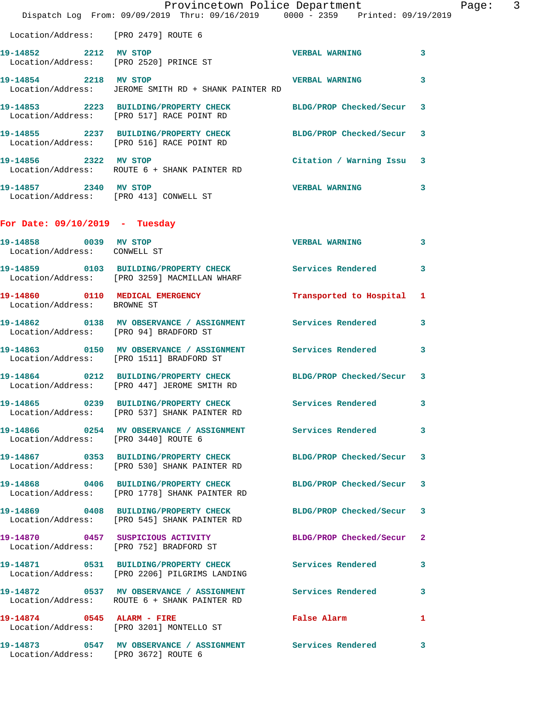|                                                       | Provincetown Police Department<br>Dispatch Log From: 09/09/2019 Thru: 09/16/2019 0000 - 2359 Printed: 09/19/2019 |                           |                         | Page: | $\overline{3}$ |
|-------------------------------------------------------|------------------------------------------------------------------------------------------------------------------|---------------------------|-------------------------|-------|----------------|
| Location/Address: [PRO 2479] ROUTE 6                  |                                                                                                                  |                           |                         |       |                |
| 19-14852 2212 MV STOP                                 | Location/Address: [PRO 2520] PRINCE ST                                                                           | VERBAL WARNING 3          |                         |       |                |
| 19-14854 2218 MV STOP                                 | Location/Address: JEROME SMITH RD + SHANK PAINTER RD                                                             | <b>VERBAL WARNING</b>     | 3                       |       |                |
|                                                       | 19-14853 2223 BUILDING/PROPERTY CHECK<br>Location/Address: [PRO 517] RACE POINT RD                               | BLDG/PROP Checked/Secur 3 |                         |       |                |
|                                                       | 19-14855 2237 BUILDING/PROPERTY CHECK BLDG/PROP Checked/Secur 3<br>Location/Address: [PRO 516] RACE POINT RD     |                           |                         |       |                |
| 19-14856 2322 MV STOP                                 | Location/Address: ROUTE 6 + SHANK PAINTER RD                                                                     | Citation / Warning Issu 3 |                         |       |                |
| Location/Address: [PRO 413] CONWELL ST                | 19-14857 2340 MV STOP                                                                                            | <b>VERBAL WARNING</b>     | 3                       |       |                |
| For Date: $09/10/2019$ - Tuesday                      |                                                                                                                  |                           |                         |       |                |
| 19-14858 0039 MV STOP<br>Location/Address: CONWELL ST |                                                                                                                  | <b>VERBAL WARNING</b>     | $\mathbf{3}$            |       |                |
|                                                       | 19-14859 0103 BUILDING/PROPERTY CHECK Services Rendered<br>Location/Address: [PRO 3259] MACMILLAN WHARF          |                           | 3                       |       |                |
| Location/Address: BROWNE ST                           | 19-14860 0110 MEDICAL EMERGENCY                                                                                  | Transported to Hospital 1 |                         |       |                |
| Location/Address: [PRO 94] BRADFORD ST                | 19-14862 0138 MV OBSERVANCE / ASSIGNMENT Services Rendered                                                       |                           | 3                       |       |                |
|                                                       | 19-14863 0150 MV OBSERVANCE / ASSIGNMENT Services Rendered 3<br>Location/Address: [PRO 1511] BRADFORD ST         |                           |                         |       |                |
|                                                       | 19-14864 0212 BUILDING/PROPERTY CHECK<br>Location/Address: [PRO 447] JEROME SMITH RD                             | BLDG/PROP Checked/Secur 3 |                         |       |                |
|                                                       | 19-14865 0239 BUILDING/PROPERTY CHECK Services Rendered 3<br>Location/Address: [PRO 537] SHANK PAINTER RD        |                           |                         |       |                |
| Location/Address: [PRO 3440] ROUTE 6                  | 19-14866 60254 MV OBSERVANCE / ASSIGNMENT Services Rendered                                                      |                           | $\mathbf{3}$            |       |                |
|                                                       | 19-14867 0353 BUILDING/PROPERTY CHECK<br>Location/Address: [PRO 530] SHANK PAINTER RD                            | BLDG/PROP Checked/Secur 3 |                         |       |                |
|                                                       | 19-14868 0406 BUILDING/PROPERTY CHECK BLDG/PROP Checked/Secur 3<br>Location/Address: [PRO 1778] SHANK PAINTER RD |                           |                         |       |                |
|                                                       | 19-14869 0408 BUILDING/PROPERTY CHECK<br>Location/Address: [PRO 545] SHANK PAINTER RD                            | BLDG/PROP Checked/Secur 3 |                         |       |                |
|                                                       | 19-14870 0457 SUSPICIOUS ACTIVITY<br>Location/Address: [PRO 752] BRADFORD ST                                     | BLDG/PROP Checked/Secur 2 |                         |       |                |
|                                                       | 19-14871 0531 BUILDING/PROPERTY CHECK Services Rendered<br>Location/Address: [PRO 2206] PILGRIMS LANDING         |                           | $\overline{\mathbf{3}}$ |       |                |
|                                                       | 19-14872 0537 MV OBSERVANCE / ASSIGNMENT Services Rendered<br>Location/Address: ROUTE 6 + SHANK PAINTER RD       |                           | 3                       |       |                |
|                                                       | 19-14874 0545 ALARM - FIRE<br>Location/Address: [PRO 3201] MONTELLO ST                                           | False Alarm               | $\mathbf{1}$            |       |                |
| Location/Address: [PRO 3672] ROUTE 6                  | 19-14873 0547 MV OBSERVANCE / ASSIGNMENT Services Rendered                                                       |                           | 3                       |       |                |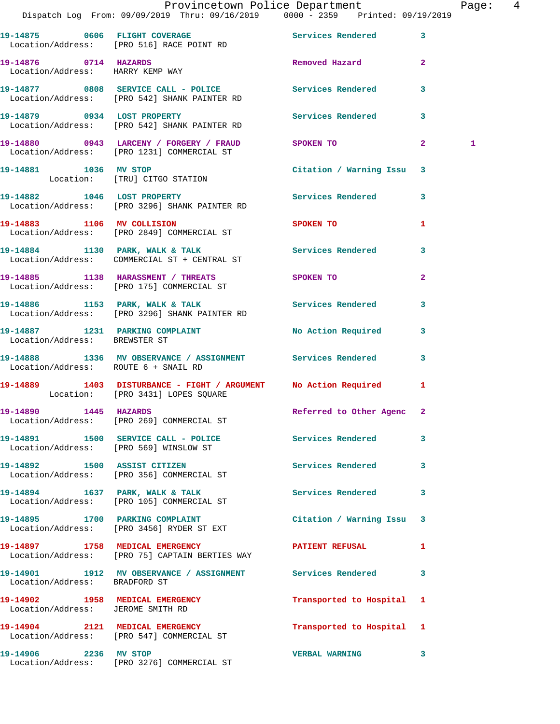|                                      | Provincetown Police Department<br>Dispatch Log From: 09/09/2019 Thru: 09/16/2019   0000 - 2359   Printed: 09/19/2019 |                             |              | Page:  4     |  |
|--------------------------------------|----------------------------------------------------------------------------------------------------------------------|-----------------------------|--------------|--------------|--|
|                                      | 19-14875 0606 FLIGHT COVERAGE Services Rendered 3                                                                    |                             |              |              |  |
|                                      | Location/Address: [PRO 516] RACE POINT RD                                                                            |                             |              |              |  |
| Location/Address: HARRY KEMP WAY     | 19-14876 0714 HAZARDS<br>Location/Address: HARRY KEMP WAY                                                            | Removed Hazard 2            |              |              |  |
|                                      | 19-14877 0808 SERVICE CALL - POLICE Services Rendered 3<br>Location/Address: [PRO 542] SHANK PAINTER RD              |                             |              |              |  |
|                                      | 19-14879 0934 LOST PROPERTY Services Rendered 3<br>Location/Address: [PRO 542] SHANK PAINTER RD                      |                             |              |              |  |
|                                      | 19-14880 0943 LARCENY / FORGERY / FRAUD SPOKEN TO 2<br>Location/Address: [PRO 1231] COMMERCIAL ST                    |                             |              | $\mathbf{1}$ |  |
|                                      | 19-14881 1036 MV STOP 1999 100 Citation / Warning Issu<br>Location: [TRU] CITGO STATION                              |                             |              |              |  |
|                                      | 19-14882 1046 LOST PROPERTY 10 Services Rendered 3<br>Location/Address: [PRO 3296] SHANK PAINTER RD                  |                             |              |              |  |
|                                      | 19-14883 1106 MV COLLISION<br>Location/Address: [PRO 2849] COMMERCIAL ST                                             | SPOKEN TO AND THE SPOKEN TO | $\mathbf{1}$ |              |  |
|                                      | 19-14884 1130 PARK, WALK & TALK 1992 Services Rendered 3<br>Location/Address: COMMERCIAL ST + CENTRAL ST             |                             |              |              |  |
|                                      | 19-14885 1138 HARASSMENT / THREATS SPOKEN TO<br>Location/Address: [PRO 175] COMMERCIAL ST                            |                             | $\mathbf{2}$ |              |  |
|                                      | -<br>19-14886 1153 PARK, WALK & TALK 1988 Services Rendered 13<br>Location/Address: [PRO 3296] SHANK PAINTER RD      |                             |              |              |  |
| Location/Address: BREWSTER ST        | 19-14887 1231 PARKING COMPLAINT No Action Required 3                                                                 |                             |              |              |  |
| Location/Address: ROUTE 6 + SNAIL RD | 19-14888 1336 MV OBSERVANCE / ASSIGNMENT Services Rendered 3                                                         |                             |              |              |  |
|                                      | 19-14889 1403 DISTURBANCE - FIGHT / ARGUMENT No Action Required 1<br>Location: [PRO 3431] LOPES SQUARE               |                             |              |              |  |
|                                      | 19-14890 1445 HAZARDS<br>Location/Address: [PRO 269] COMMERCIAL ST                                                   | Referred to Other Agenc 2   |              |              |  |
|                                      | 19-14891 1500 SERVICE CALL - POLICE 3 Services Rendered 3<br>Location/Address: [PRO 569] WINSLOW ST                  |                             |              |              |  |
|                                      | 19-14892 1500 ASSIST CITIZEN<br>Location/Address: [PRO 356] COMMERCIAL ST                                            | Services Rendered 3         |              |              |  |
|                                      | 19-14894 1637 PARK, WALK & TALK<br>Location/Address: [PRO 105] COMMERCIAL ST                                         | Services Rendered 3         |              |              |  |
|                                      | 19-14895 1700 PARKING COMPLAINT<br>Location/Address: [PRO 3456] RYDER ST EXT                                         | Citation / Warning Issu 3   |              |              |  |
|                                      | 19-14897 1758 MEDICAL EMERGENCY PATIENT REFUSAL<br>Location/Address: [PRO 75] CAPTAIN BERTIES WAY                    |                             | 1            |              |  |
| Location/Address: BRADFORD ST        | 19-14901 1912 MV OBSERVANCE / ASSIGNMENT Services Rendered 3                                                         |                             |              |              |  |
| Location/Address: JEROME SMITH RD    | 19-14902 1958 MEDICAL EMERGENCY                                                                                      | Transported to Hospital 1   |              |              |  |
|                                      | 19-14904 2121 MEDICAL EMERGENCY<br>Location/Address: [PRO 547] COMMERCIAL ST                                         | Transported to Hospital 1   |              |              |  |
|                                      | 19-14906 2236 MV STOP<br>Location/Address: [PRO 3276] COMMERCIAL ST                                                  | <b>VERBAL WARNING</b>       | $\mathbf{3}$ |              |  |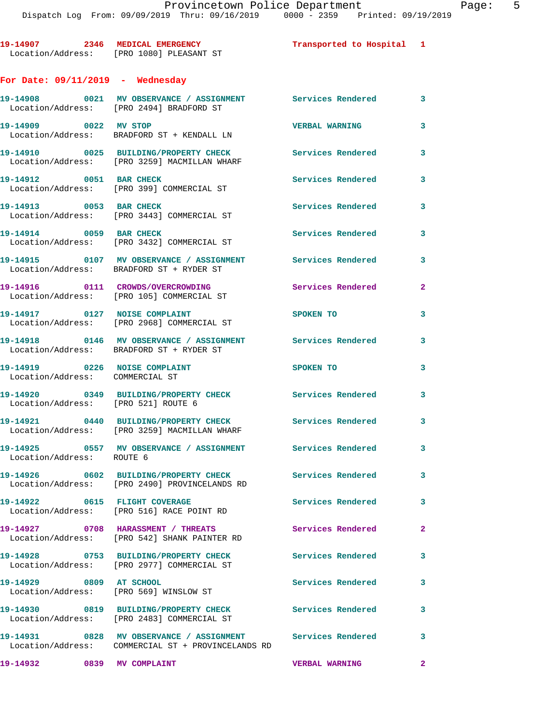**19-14907 2346 MEDICAL EMERGENCY Transported to Hospital 1**  Location/Address: [PRO 1080] PLEASANT ST **For Date: 09/11/2019 - Wednesday 19-14908 0021 MV OBSERVANCE / ASSIGNMENT Services Rendered 3**  Location/Address: [PRO 2494] BRADFORD ST **19-14909 0022 MV STOP VERBAL WARNING 3**  Location/Address: BRADFORD ST + KENDALL LN **19-14910 0025 BUILDING/PROPERTY CHECK Services Rendered 3**  Location/Address: [PRO 3259] MACMILLAN WHARF 19-14912 0051 BAR CHECK Services Rendered 3 Location/Address: [PRO 399] COMMERCIAL ST **19-14913 0053 BAR CHECK Services Rendered 3**  Location/Address: [PRO 3443] COMMERCIAL ST **19-14914 0059 BAR CHECK Services Rendered 3**  Location/Address: [PRO 3432] COMMERCIAL ST **19-14915 0107 MV OBSERVANCE / ASSIGNMENT Services Rendered 3**  Location/Address: BRADFORD ST + RYDER ST **19-14916 0111 CROWDS/OVERCROWDING Services Rendered 2**  Location/Address: [PRO 105] COMMERCIAL ST **19-14917 0127 NOISE COMPLAINT SPOKEN TO 3**  Location/Address: [PRO 2968] COMMERCIAL ST **19-14918 0146 MV OBSERVANCE / ASSIGNMENT Services Rendered 3**  Location/Address: BRADFORD ST + RYDER ST **19-14919 0226 NOISE COMPLAINT SPOKEN TO 3**  Location/Address: COMMERCIAL ST **19-14920 0349 BUILDING/PROPERTY CHECK Services Rendered 3** 

**19-14921 0440 BUILDING/PROPERTY CHECK Services Rendered 3**  Location/Address: [PRO 3259] MACMILLAN WHARF

Location/Address: [PRO 521] ROUTE 6

**19-14925 0557 MV OBSERVANCE / ASSIGNMENT Services Rendered 3**  Location/Address: ROUTE 6

**19-14926 0602 BUILDING/PROPERTY CHECK Services Rendered 3**  Location/Address: [PRO 2490] PROVINCELANDS RD

**19-14922 0615 FLIGHT COVERAGE Services Rendered 3**  Location/Address: [PRO 516] RACE POINT RD

**19-14927 0708 HARASSMENT / THREATS Services Rendered 2**  Location/Address: [PRO 542] SHANK PAINTER RD

**19-14928 0753 BUILDING/PROPERTY CHECK Services Rendered 3**  Location/Address: [PRO 2977] COMMERCIAL ST

**19-14929 0809 AT SCHOOL Services Rendered 3**  Location/Address: [PRO 569] WINSLOW ST

**19-14930 0819 BUILDING/PROPERTY CHECK Services Rendered 3**  Location/Address: [PRO 2483] COMMERCIAL ST

**19-14931 0828 MV OBSERVANCE / ASSIGNMENT Services Rendered 3**  Location/Address: COMMERCIAL ST + PROVINCELANDS RD

**19-14932 0839 MV COMPLAINT VERBAL WARNING 2**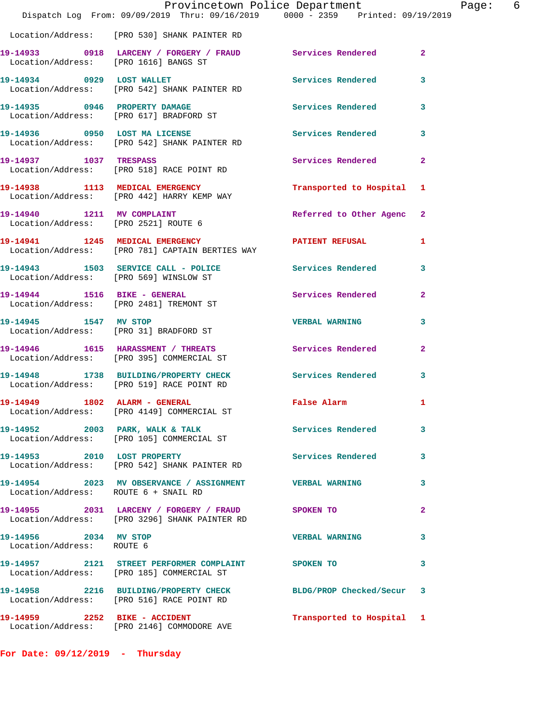|                                                    | Provincetown Police Department<br>Dispatch Log From: 09/09/2019 Thru: 09/16/2019 0000 - 2359 Printed: 09/19/2019 |                           |                |
|----------------------------------------------------|------------------------------------------------------------------------------------------------------------------|---------------------------|----------------|
|                                                    | Location/Address: [PRO 530] SHANK PAINTER RD                                                                     |                           |                |
|                                                    | 19-14933 0918 LARCENY / FORGERY / FRAUD Services Rendered<br>Location/Address: [PRO 1616] BANGS ST               |                           | $\mathbf{2}$   |
| 19-14934 0929 LOST WALLET                          | Location/Address: [PRO 542] SHANK PAINTER RD                                                                     | <b>Services Rendered</b>  | 3              |
|                                                    | 19-14935 0946 PROPERTY DAMAGE<br>Location/Address: [PRO 617] BRADFORD ST                                         | <b>Services Rendered</b>  | 3              |
|                                                    | 19-14936 0950 LOST MA LICENSE<br>Location/Address: [PRO 542] SHANK PAINTER RD                                    | <b>Services Rendered</b>  | 3              |
| 19-14937 1037 TRESPASS                             | Location/Address: [PRO 518] RACE POINT RD                                                                        | Services Rendered         | $\overline{a}$ |
|                                                    | 19-14938 1113 MEDICAL EMERGENCY<br>Location/Address: [PRO 442] HARRY KEMP WAY                                    | Transported to Hospital   | 1              |
| 19-14940 1211 MV COMPLAINT                         | Location/Address: [PRO 2521] ROUTE 6                                                                             | Referred to Other Agenc   | $\mathbf{2}$   |
|                                                    | 19-14941 1245 MEDICAL EMERGENCY<br>Location/Address: [PRO 781] CAPTAIN BERTIES WAY                               | <b>PATIENT REFUSAL</b>    | 1              |
|                                                    | 19-14943 1503 SERVICE CALL - POLICE 2010 Services Rendered<br>Location/Address: [PRO 569] WINSLOW ST             |                           | 3              |
|                                                    | 19-14944 1516 BIKE - GENERAL<br>Location/Address: [PRO 2481] TREMONT ST                                          | Services Rendered         | 2              |
| 19-14945 1547 MV STOP                              | Location/Address: [PRO 31] BRADFORD ST                                                                           | <b>VERBAL WARNING</b>     | 3              |
|                                                    | 19-14946 1615 HARASSMENT / THREATS<br>Location/Address: [PRO 395] COMMERCIAL ST                                  | Services Rendered         | 2              |
|                                                    | 19-14948 1738 BUILDING/PROPERTY CHECK<br>Location/Address: [PRO 519] RACE POINT RD                               | Services Rendered         | 3              |
| 19-14949 1802 ALARM - GENERAL                      | Location/Address: [PRO 4149] COMMERCIAL ST                                                                       | False Alarm               | 1              |
|                                                    | 19-14952 2003 PARK, WALK & TALK<br>Location/Address: [PRO 105] COMMERCIAL ST                                     | <b>Services Rendered</b>  | 3              |
|                                                    | 19-14953 2010 LOST PROPERTY<br>Location/Address: [PRO 542] SHANK PAINTER RD                                      | <b>Services Rendered</b>  | 3              |
| Location/Address: ROUTE 6 + SNAIL RD               | 19-14954 2023 MV OBSERVANCE / ASSIGNMENT VERBAL WARNING                                                          |                           | 3              |
|                                                    | 19-14955 2031 LARCENY / FORGERY / FRAUD SPOKEN TO<br>Location/Address: [PRO 3296] SHANK PAINTER RD               |                           | 2              |
| 19-14956 2034 MV STOP<br>Location/Address: ROUTE 6 |                                                                                                                  | <b>VERBAL WARNING</b>     | 3              |
|                                                    | 19-14957 2121 STREET PERFORMER COMPLAINT SPOKEN TO<br>Location/Address: [PRO 185] COMMERCIAL ST                  |                           | 3              |
|                                                    | 19-14958 2216 BUILDING/PROPERTY CHECK BLDG/PROP Checked/Secur<br>Location/Address: [PRO 516] RACE POINT RD       |                           | 3              |
|                                                    | 19-14959 2252 BIKE - ACCIDENT<br>Location/Address: [PRO 2146] COMMODORE AVE                                      | Transported to Hospital 1 |                |

**For Date: 09/12/2019 - Thursday**

Page:  $6$ <br>19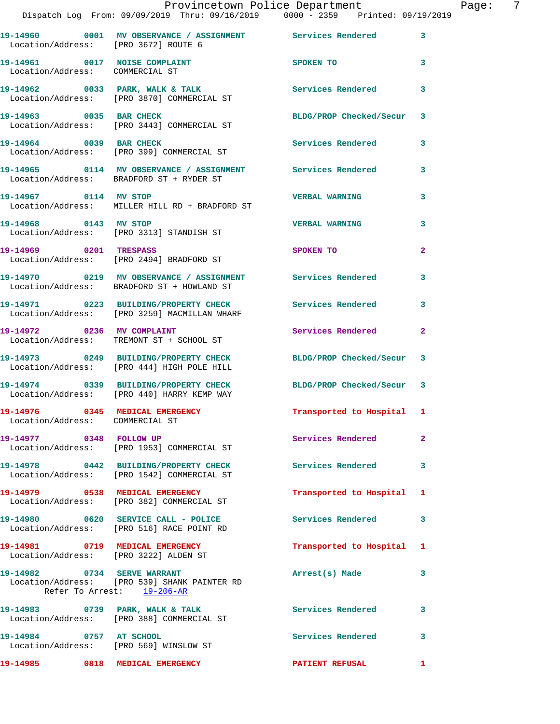|                                                                    | Provincetown Police Department<br>Dispatch Log From: 09/09/2019 Thru: 09/16/2019 0000 - 2359 Printed: 09/19/2019 |                           |              | Page: | - 7 |
|--------------------------------------------------------------------|------------------------------------------------------------------------------------------------------------------|---------------------------|--------------|-------|-----|
|                                                                    | 19-14960 0001 MV OBSERVANCE / ASSIGNMENT Services Rendered 3                                                     |                           |              |       |     |
| Location/Address: [PRO 3672] ROUTE 6                               |                                                                                                                  |                           |              |       |     |
| Location/Address: COMMERCIAL ST                                    | 19-14961 0017 NOISE COMPLAINT                                                                                    | SPOKEN TO                 | $\mathbf{3}$ |       |     |
|                                                                    | 19-14962 0033 PARK, WALK & TALK (Services Rendered 3<br>Location/Address: [PRO 3870] COMMERCIAL ST               |                           |              |       |     |
|                                                                    | 19-14963 0035 BAR CHECK BLDG/PROP Checked/Secur 3<br>Location/Address: [PRO 3443] COMMERCIAL ST                  |                           |              |       |     |
|                                                                    | 19-14964 0039 BAR CHECK<br>Location/Address: [PRO 399] COMMERCIAL ST                                             | Services Rendered 3       |              |       |     |
|                                                                    | 19-14965 0114 MV OBSERVANCE / ASSIGNMENT Services Rendered 3<br>Location/Address: BRADFORD ST + RYDER ST         |                           |              |       |     |
| 19-14967 0114 MV STOP                                              | Location/Address: MILLER HILL RD + BRADFORD ST                                                                   | <b>VERBAL WARNING</b>     | $\mathbf{3}$ |       |     |
|                                                                    | 19-14968 0143 MV STOP<br>Location/Address: [PRO 3313] STANDISH ST                                                | <b>VERBAL WARNING</b>     | 3            |       |     |
| 19-14969 0201 TRESPASS                                             | Location/Address: [PRO 2494] BRADFORD ST                                                                         | SPOKEN TO                 | $\mathbf{2}$ |       |     |
|                                                                    | 19-14970 0219 MV OBSERVANCE / ASSIGNMENT Services Rendered 3<br>Location/Address: BRADFORD ST + HOWLAND ST       |                           |              |       |     |
|                                                                    | 19-14971 0223 BUILDING/PROPERTY CHECK Services Rendered 3<br>Location/Address: [PRO 3259] MACMILLAN WHARF        |                           |              |       |     |
|                                                                    | 19-14972 0236 MV COMPLAINT<br>Location/Address: TREMONT ST + SCHOOL ST                                           | Services Rendered         | $\mathbf{2}$ |       |     |
|                                                                    | 19-14973 0249 BUILDING/PROPERTY CHECK BLDG/PROP Checked/Secur 3<br>Location/Address: [PRO 444] HIGH POLE HILL    |                           |              |       |     |
|                                                                    | 19-14974 0339 BUILDING/PROPERTY CHECK BLDG/PROP Checked/Secur 3<br>Location/Address: [PRO 440] HARRY KEMP WAY    |                           |              |       |     |
| 19-14976 0345 MEDICAL EMERGENCY<br>Location/Address: COMMERCIAL ST |                                                                                                                  | Transported to Hospital 1 |              |       |     |
|                                                                    | 19-14977 0348 FOLLOW UP<br>Location/Address: [PRO 1953] COMMERCIAL ST                                            | Services Rendered         | $\mathbf{2}$ |       |     |
|                                                                    | 19-14978 0442 BUILDING/PROPERTY CHECK Services Rendered 3<br>Location/Address: [PRO 1542] COMMERCIAL ST          |                           |              |       |     |
|                                                                    | 19-14979 0538 MEDICAL EMERGENCY<br>Location/Address: [PRO 382] COMMERCIAL ST                                     | Transported to Hospital 1 |              |       |     |
|                                                                    | 19-14980 0620 SERVICE CALL - POLICE<br>Location/Address: [PRO 516] RACE POINT RD                                 | Services Rendered 3       |              |       |     |
| Location/Address: [PRO 3222] ALDEN ST                              | 19-14981 0719 MEDICAL EMERGENCY                                                                                  | Transported to Hospital 1 |              |       |     |
|                                                                    | 19-14982 0734 SERVE WARRANT<br>Location/Address: [PRO 539] SHANK PAINTER RD<br>Refer To Arrest: 19-206-AR        | Arrest(s) Made            | 3            |       |     |
|                                                                    | 19-14983 0739 PARK, WALK & TALK<br>Location/Address: [PRO 388] COMMERCIAL ST                                     | Services Rendered         | 3            |       |     |
| 19-14984 0757 AT SCHOOL<br>Location/Address: [PRO 569] WINSLOW ST  |                                                                                                                  | Services Rendered         | 3            |       |     |
| 19-14985 0818 MEDICAL EMERGENCY                                    |                                                                                                                  | PATIENT REFUSAL 1         |              |       |     |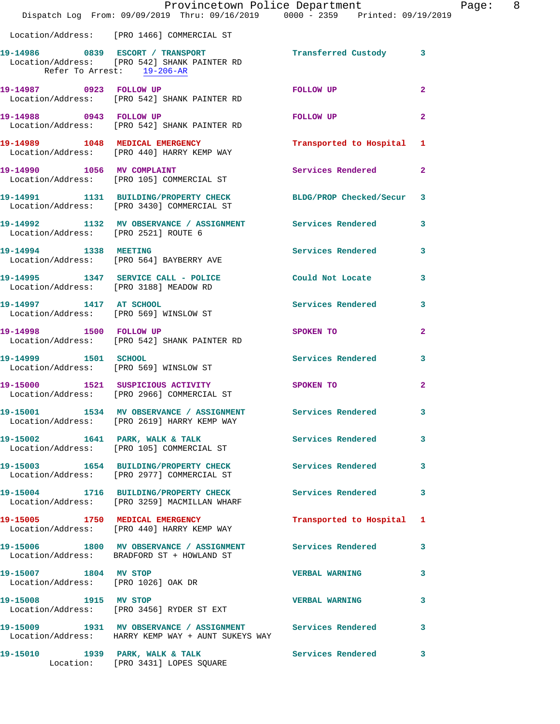|                                                              | Provincetown Police Department<br>Dispatch Log From: 09/09/2019 Thru: 09/16/2019 0000 - 2359 Printed: 09/19/2019   |                           |                |
|--------------------------------------------------------------|--------------------------------------------------------------------------------------------------------------------|---------------------------|----------------|
|                                                              | Location/Address: [PRO 1466] COMMERCIAL ST                                                                         |                           |                |
| Refer To Arrest: 19-206-AR                                   | 19-14986 6839 ESCORT / TRANSPORT 19-14986 (Ustody 3<br>Location/Address: [PRO 542] SHANK PAINTER RD                |                           |                |
|                                                              | 19-14987 0923 FOLLOW UP<br>Location/Address: [PRO 542] SHANK PAINTER RD                                            | FOLLOW UP                 | $\overline{2}$ |
| 19-14988 0943 FOLLOW UP                                      | Location/Address: [PRO 542] SHANK PAINTER RD                                                                       | FOLLOW UP                 | $\overline{a}$ |
|                                                              | 19-14989 1048 MEDICAL EMERGENCY<br>Location/Address: [PRO 440] HARRY KEMP WAY                                      | Transported to Hospital 1 |                |
|                                                              | 19-14990 1056 MV COMPLAINT<br>Location/Address: [PRO 105] COMMERCIAL ST                                            | Services Rendered         | $\overline{2}$ |
|                                                              | 19-14991 1131 BUILDING/PROPERTY CHECK BLDG/PROP Checked/Secur<br>Location/Address: [PRO 3430] COMMERCIAL ST        |                           | 3              |
| Location/Address: [PRO 2521] ROUTE 6                         | 19-14992 1132 MV OBSERVANCE / ASSIGNMENT Services Rendered                                                         |                           | 3              |
|                                                              | 19-14994 1338 MEETING<br>Location/Address: [PRO 564] BAYBERRY AVE                                                  | Services Rendered         | 3              |
|                                                              | 19-14995 1347 SERVICE CALL - POLICE COULD Not Locate<br>Location/Address: [PRO 3188] MEADOW RD                     |                           | 3              |
|                                                              | 19-14997 1417 AT SCHOOL<br>Location/Address: [PRO 569] WINSLOW ST                                                  | Services Rendered         | 3              |
| 19-14998 1500 FOLLOW UP                                      | Location/Address: [PRO 542] SHANK PAINTER RD                                                                       | <b>SPOKEN TO</b>          | $\overline{2}$ |
|                                                              | 19-14999 1501 SCHOOL<br>Location/Address: [PRO 569] WINSLOW ST                                                     | Services Rendered         | 3              |
|                                                              | 19-15000 1521 SUSPICIOUS ACTIVITY<br>Location/Address: [PRO 2966] COMMERCIAL ST                                    | <b>SPOKEN TO</b>          | $\overline{a}$ |
|                                                              | 19-15001 1534 MV OBSERVANCE / ASSIGNMENT Services Rendered<br>Location/Address: [PRO 2619] HARRY KEMP WAY          |                           | 3              |
|                                                              | 19-15002 1641 PARK, WALK & TALK<br>Location/Address: [PRO 105] COMMERCIAL ST                                       | <b>Services Rendered</b>  | 3              |
|                                                              | 19-15003 1654 BUILDING/PROPERTY CHECK Services Rendered<br>Location/Address: [PRO 2977] COMMERCIAL ST              |                           | 3              |
|                                                              | 19-15004 1716 BUILDING/PROPERTY CHECK Services Rendered<br>Location/Address: [PRO 3259] MACMILLAN WHARF            |                           | 3              |
|                                                              | 19-15005 1750 MEDICAL EMERGENCY<br>Location/Address: [PRO 440] HARRY KEMP WAY                                      | Transported to Hospital   | 1              |
|                                                              | 19-15006 1800 MV OBSERVANCE / ASSIGNMENT Services Rendered<br>Location/Address: BRADFORD ST + HOWLAND ST           |                           | 3              |
| 19-15007 1804 MV STOP<br>Location/Address: [PRO 1026] OAK DR |                                                                                                                    | <b>VERBAL WARNING</b>     | 3              |
| 19-15008 1915 MV STOP                                        | Location/Address: [PRO 3456] RYDER ST EXT                                                                          | <b>VERBAL WARNING</b>     | 3              |
|                                                              | 19-15009 1931 MV OBSERVANCE / ASSIGNMENT Services Rendered<br>  Location/Address: HARRY KEMP WAY + AUNT SUKEYS WAY |                           | 3              |
|                                                              | 19-15010 1939 PARK, WALK & TALK<br>Location: [PRO 3431] LOPES SQUARE                                               | Services Rendered         | 3              |

Page: 8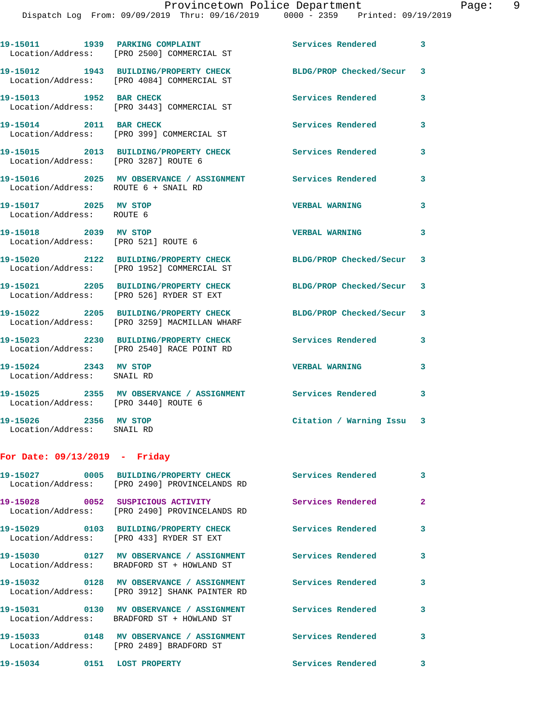Dispatch Log From: 09/09/2019 Thru: 09/16/2019 0000 - 2359 Printed: 09/19/2019

19-15011 1939 PARKING COMPLAINT **1989 Services Rendered** 3 Location/Address: [PRO 2500] COMMERCIAL ST **19-15012 1943 BUILDING/PROPERTY CHECK BLDG/PROP Checked/Secur 3**  Location/Address: [PRO 4084] COMMERCIAL ST **19-15013 1952 BAR CHECK Services Rendered 3**  Location/Address: [PRO 3443] COMMERCIAL ST **19-15014 2011 BAR CHECK Services Rendered 3**  Location/Address: [PRO 399] COMMERCIAL ST **19-15015 2013 BUILDING/PROPERTY CHECK Services Rendered 3**  Location/Address: [PRO 3287] ROUTE 6 **19-15016 2025 MV OBSERVANCE / ASSIGNMENT Services Rendered 3**  Location/Address: ROUTE 6 + SNAIL RD **19-15017 2025 MV STOP VERBAL WARNING 3**  Location/Address: ROUTE 6 **19-15018 2039 MV STOP VERBAL WARNING 3**  Location/Address: [PRO 521] ROUTE 6 **19-15020 2122 BUILDING/PROPERTY CHECK BLDG/PROP Checked/Secur 3**  Location/Address: [PRO 1952] COMMERCIAL ST **19-15021 2205 BUILDING/PROPERTY CHECK BLDG/PROP Checked/Secur 3**  Location/Address: [PRO 526] RYDER ST EXT **19-15022 2205 BUILDING/PROPERTY CHECK BLDG/PROP Checked/Secur 3**  Location/Address: [PRO 3259] MACMILLAN WHARF **19-15023 2230 BUILDING/PROPERTY CHECK Services Rendered 3**  Location/Address: [PRO 2540] RACE POINT RD **19-15024 2343 MV STOP VERBAL WARNING 3**  Location/Address: SNAIL RD **19-15025 2355 MV OBSERVANCE / ASSIGNMENT Services Rendered 3**  Location/Address: [PRO 3440] ROUTE 6 **19-15026 2356 MV STOP Citation / Warning Issu 3**  Location/Address: SNAIL RD

## **For Date: 09/13/2019 - Friday**

|                                   | 19-15027 0005 BUILDING/PROPERTY CHECK<br>Location/Address: [PRO 2490] PROVINCELANDS RD    | <b>Services Rendered</b> | $\mathbf{3}$   |
|-----------------------------------|-------------------------------------------------------------------------------------------|--------------------------|----------------|
| 19-15028 0052 SUSPICIOUS ACTIVITY | Location/Address: [PRO 2490] PROVINCELANDS RD                                             | <b>Services Rendered</b> | $\overline{2}$ |
|                                   | Location/Address: [PRO 433] RYDER ST EXT                                                  | <b>Services Rendered</b> | $\mathbf{3}$   |
|                                   | Location/Address: BRADFORD ST + HOWLAND ST                                                | <b>Services Rendered</b> | $\mathbf{3}$   |
|                                   | 19-15032 0128 MV OBSERVANCE / ASSIGNMENT<br>Location/Address: [PRO 3912] SHANK PAINTER RD | <b>Services Rendered</b> | $\mathbf{3}$   |
|                                   | Location/Address: BRADFORD ST + HOWLAND ST                                                | <b>Services Rendered</b> | $\mathbf{3}$   |
|                                   | Location/Address: [PRO 2489] BRADFORD ST                                                  |                          | 3              |
| 19-15034 0151                     | <b>LOST PROPERTY</b>                                                                      | Services Rendered        | 3              |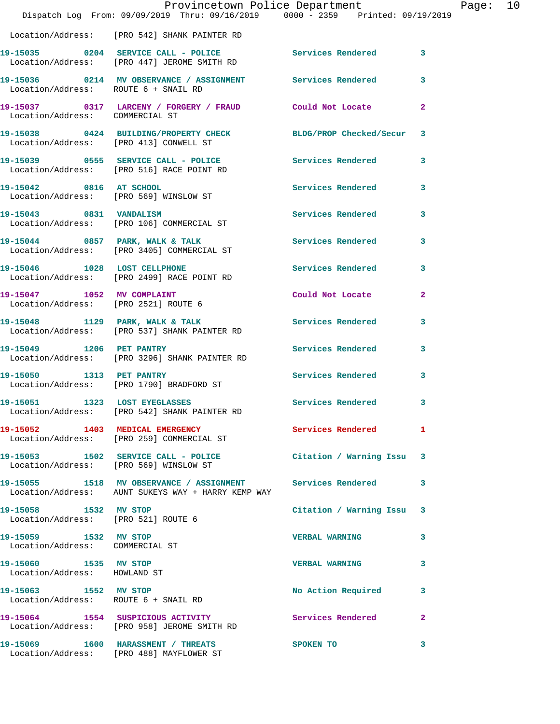|                                                               | Provincetown Police Department<br>Dispatch Log From: 09/09/2019 Thru: 09/16/2019 0000 - 2359 Printed: 09/19/2019 |                          |                |
|---------------------------------------------------------------|------------------------------------------------------------------------------------------------------------------|--------------------------|----------------|
|                                                               | Location/Address: [PRO 542] SHANK PAINTER RD                                                                     |                          |                |
|                                                               | 19-15035 0204 SERVICE CALL - POLICE Services Rendered<br>Location/Address: [PRO 447] JEROME SMITH RD             |                          | 3              |
| Location/Address: ROUTE 6 + SNAIL RD                          | 19-15036 0214 MV OBSERVANCE / ASSIGNMENT Services Rendered                                                       |                          | 3              |
| Location/Address: COMMERCIAL ST                               | 19-15037 0317 LARCENY / FORGERY / FRAUD Could Not Locate                                                         |                          | $\overline{a}$ |
| Location/Address: [PRO 413] CONWELL ST                        | 19-15038 0424 BUILDING/PROPERTY CHECK BLDG/PROP Checked/Secur                                                    |                          | 3              |
|                                                               | 19-15039 0555 SERVICE CALL - POLICE<br>Location/Address: [PRO 516] RACE POINT RD                                 | Services Rendered        | 3              |
| 19-15042 0816 AT SCHOOL                                       | Location/Address: [PRO 569] WINSLOW ST                                                                           | <b>Services Rendered</b> | 3              |
| 19-15043 0831 VANDALISM                                       | Location/Address: [PRO 106] COMMERCIAL ST                                                                        | Services Rendered        | 3              |
|                                                               | 19-15044 0857 PARK, WALK & TALK<br>Location/Address: [PRO 3405] COMMERCIAL ST                                    | Services Rendered        | 3              |
| 19-15046 1028 LOST CELLPHONE                                  | Location/Address: [PRO 2499] RACE POINT RD                                                                       | Services Rendered        | 3              |
|                                                               | 19-15047 1052 MV COMPLAINT<br>Location/Address: [PRO 2521] ROUTE 6                                               | Could Not Locate         | $\mathbf{2}$   |
|                                                               | 19-15048 1129 PARK, WALK & TALK<br>Location/Address: [PRO 537] SHANK PAINTER RD                                  | Services Rendered        | 3              |
| 19-15049 1206 PET PANTRY                                      | Location/Address: [PRO 3296] SHANK PAINTER RD                                                                    | <b>Services Rendered</b> | 3              |
| 19-15050 1313 PET PANTRY                                      | Location/Address: [PRO 1790] BRADFORD ST                                                                         | <b>Services Rendered</b> | 3              |
| 19-15051 1323 LOST EYEGLASSES                                 | Location/Address: [PRO 542] SHANK PAINTER RD                                                                     | Services Rendered        | 3              |
|                                                               | 19-15052 1403 MEDICAL EMERGENCY Services Rendered<br>Location/Address: [PRO 259] COMMERCIAL ST                   |                          | 1              |
|                                                               | 19-15053 1502 SERVICE CALL - POLICE CHERO Citation / Warning Issu<br>Location/Address: [PRO 569] WINSLOW ST      |                          | 3              |
|                                                               | 19-15055 1518 MV OBSERVANCE / ASSIGNMENT Services Rendered<br>Location/Address: AUNT SUKEYS WAY + HARRY KEMP WAY |                          | 3              |
| 19-15058 1532 MV STOP<br>Location/Address: [PRO 521] ROUTE 6  |                                                                                                                  | Citation / Warning Issu  | 3              |
| 19-15059 1532 MV STOP<br>Location/Address: COMMERCIAL ST      |                                                                                                                  | <b>VERBAL WARNING</b>    | 3              |
| 19-15060 1535 MV STOP<br>Location/Address: HOWLAND ST         |                                                                                                                  | <b>VERBAL WARNING</b>    | 3              |
| 19-15063 1552 MV STOP<br>Location/Address: ROUTE 6 + SNAIL RD |                                                                                                                  | No Action Required       | 3              |
|                                                               | 19-15064 1554 SUSPICIOUS ACTIVITY<br>Location/Address: [PRO 958] JEROME SMITH RD                                 | Services Rendered        | $\overline{a}$ |
|                                                               | 19-15069 1600 HARASSMENT / THREATS<br>Location/Address: [PRO 488] MAYFLOWER ST                                   | SPOKEN TO                | 3              |

Page: 10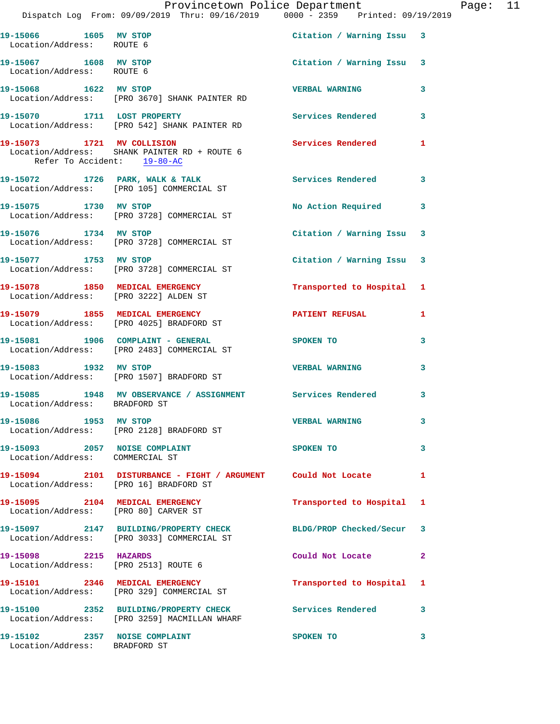|                                                                | Dispatch Log From: 09/09/2019 Thru: 09/16/2019 0000 - 2359 Printed: 09/19/2019                                | Provincetown Police Department |   | Page: 11 |  |
|----------------------------------------------------------------|---------------------------------------------------------------------------------------------------------------|--------------------------------|---|----------|--|
| 19-15066 1605 MV STOP<br>Location/Address: ROUTE 6             |                                                                                                               | Citation / Warning Issu 3      |   |          |  |
| 19-15067 1608 MV STOP<br>Location/Address: ROUTE 6             |                                                                                                               | Citation / Warning Issu 3      |   |          |  |
|                                                                | 19-15068 1622 MV STOP<br>Location/Address: [PRO 3670] SHANK PAINTER RD                                        | <b>VERBAL WARNING</b>          | 3 |          |  |
|                                                                | 19-15070 1711 LOST PROPERTY<br>Location/Address: [PRO 542] SHANK PAINTER RD                                   | Services Rendered              | 3 |          |  |
| Refer To Accident: 19-80-AC                                    | 19-15073 1721 MV COLLISION<br>Location/Address: SHANK PAINTER RD + ROUTE 6                                    | Services Rendered 1            |   |          |  |
|                                                                | 19-15072 1726 PARK, WALK & TALK 1998 Services Rendered<br>Location/Address: [PRO 105] COMMERCIAL ST           |                                | 3 |          |  |
| 19-15075 1730 MV STOP                                          | Location/Address: [PRO 3728] COMMERCIAL ST                                                                    | No Action Required 3           |   |          |  |
|                                                                | 19-15076 1734 MV STOP<br>Location/Address: [PRO 3728] COMMERCIAL ST                                           | Citation / Warning Issu 3      |   |          |  |
| 19-15077 1753 MV STOP                                          | Location/Address: [PRO 3728] COMMERCIAL ST                                                                    | Citation / Warning Issu 3      |   |          |  |
|                                                                | 19-15078 1850 MEDICAL EMERGENCY<br>Location/Address: [PRO 3222] ALDEN ST                                      | Transported to Hospital 1      |   |          |  |
|                                                                | 19-15079 1855 MEDICAL EMERGENCY<br>Location/Address: [PRO 4025] BRADFORD ST                                   | PATIENT REFUSAL                | 1 |          |  |
|                                                                | 19-15081 1906 COMPLAINT - GENERAL<br>Location/Address: [PRO 2483] COMMERCIAL ST                               | <b>SPOKEN TO</b>               | 3 |          |  |
| 19-15083 1932 MV STOP                                          | Location/Address: [PRO 1507] BRADFORD ST                                                                      | <b>VERBAL WARNING</b>          | 3 |          |  |
| Location/Address: BRADFORD ST                                  | 19-15085 1948 MV OBSERVANCE / ASSIGNMENT Services Rendered                                                    |                                | 3 |          |  |
| 19-15086 1953 MV STOP                                          | Location/Address: [PRO 2128] BRADFORD ST                                                                      | <b>VERBAL WARNING</b>          | 3 |          |  |
| Location/Address: COMMERCIAL ST                                | 19-15093 2057 NOISE COMPLAINT                                                                                 | SPOKEN TO                      | 3 |          |  |
| Location/Address: [PRO 16] BRADFORD ST                         | 19-15094 2101 DISTURBANCE - FIGHT / ARGUMENT Could Not Locate 1                                               |                                |   |          |  |
| Location/Address: [PRO 80] CARVER ST                           | 19-15095 2104 MEDICAL EMERGENCY                                                                               | Transported to Hospital 1      |   |          |  |
|                                                                | 19-15097 2147 BUILDING/PROPERTY CHECK BLDG/PROP Checked/Secur 3<br>Location/Address: [PRO 3033] COMMERCIAL ST |                                |   |          |  |
| 19-15098 2215 HAZARDS<br>Location/Address: [PRO 2513] ROUTE 6  |                                                                                                               | Could Not Locate               | 2 |          |  |
|                                                                | 19-15101 2346 MEDICAL EMERGENCY<br>Location/Address: [PRO 329] COMMERCIAL ST                                  | Transported to Hospital 1      |   |          |  |
|                                                                | 19-15100 2352 BUILDING/PROPERTY CHECK Services Rendered 3<br>Location/Address: [PRO 3259] MACMILLAN WHARF     |                                |   |          |  |
| 19-15102 2357 NOISE COMPLAINT<br>Location/Address: BRADFORD ST |                                                                                                               | SPOKEN TO                      | 3 |          |  |
|                                                                |                                                                                                               |                                |   |          |  |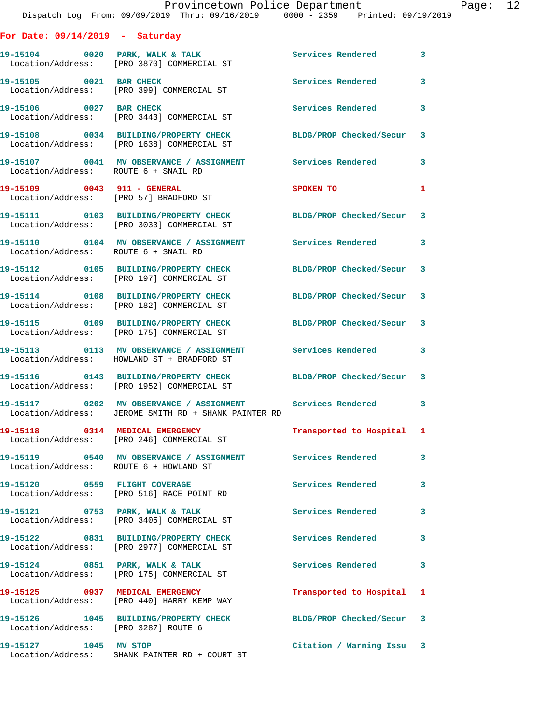|                                        | Provincetown Police Department<br>Dispatch Log From: 09/09/2019 Thru: 09/16/2019 0000 - 2359 Printed: 09/19/2019 |                                |   |
|----------------------------------------|------------------------------------------------------------------------------------------------------------------|--------------------------------|---|
| For Date: $09/14/2019$ - Saturday      |                                                                                                                  |                                |   |
|                                        | 19-15104 0020 PARK, WALK & TALK Services Rendered<br>Location/Address: [PRO 3870] COMMERCIAL ST                  |                                | 3 |
| 19-15105 0021 BAR CHECK                | Location/Address: [PRO 399] COMMERCIAL ST                                                                        | Services Rendered              | 3 |
| 19-15106 0027 BAR CHECK                | Location/Address: [PRO 3443] COMMERCIAL ST                                                                       | Services Rendered              | 3 |
|                                        | 19-15108 0034 BUILDING/PROPERTY CHECK<br>Location/Address: [PRO 1638] COMMERCIAL ST                              | <b>BLDG/PROP Checked/Secur</b> | 3 |
| Location/Address: ROUTE 6 + SNAIL RD   | 19-15107 0041 MV OBSERVANCE / ASSIGNMENT Services Rendered                                                       |                                | 3 |
|                                        | 19-15109 0043 911 - GENERAL<br>Location/Address: [PRO 57] BRADFORD ST                                            | SPOKEN TO                      | 1 |
|                                        | 19-15111 0103 BUILDING/PROPERTY CHECK BLDG/PROP Checked/Secur<br>Location/Address: [PRO 3033] COMMERCIAL ST      |                                | 3 |
| Location/Address: ROUTE 6 + SNAIL RD   | 19-15110 0104 MV OBSERVANCE / ASSIGNMENT Services Rendered                                                       |                                | 3 |
|                                        | 19-15112 0105 BUILDING/PROPERTY CHECK<br>Location/Address: [PRO 197] COMMERCIAL ST                               | BLDG/PROP Checked/Secur        | 3 |
|                                        | 19-15114 0108 BUILDING/PROPERTY CHECK BLDG/PROP Checked/Secur<br>Location/Address: [PRO 182] COMMERCIAL ST       |                                | 3 |
|                                        | 19-15115 0109 BUILDING/PROPERTY CHECK<br>Location/Address: [PRO 175] COMMERCIAL ST                               | BLDG/PROP Checked/Secur        | 3 |
|                                        | 19-15113 		 0113 MV OBSERVANCE / ASSIGNMENT Services Rendered<br>Location/Address: HOWLAND ST + BRADFORD ST      |                                | 3 |
|                                        | 19-15116 0143 BUILDING/PROPERTY CHECK<br>Location/Address: [PRO 1952] COMMERCIAL ST                              | BLDG/PROP Checked/Secur 3      |   |
|                                        | 19-15117 0202 MV OBSERVANCE / ASSIGNMENT<br>Location/Address: JEROME SMITH RD + SHANK PAINTER RD                 | <b>Services Rendered</b>       |   |
|                                        | 19-15118 0314 MEDICAL EMERGENCY<br>Location/Address: [PRO 246] COMMERCIAL ST                                     | Transported to Hospital        | 1 |
| Location/Address: ROUTE 6 + HOWLAND ST | 19-15119 0540 MV OBSERVANCE / ASSIGNMENT Services Rendered                                                       |                                | 3 |
|                                        | 19-15120 0559 FLIGHT COVERAGE<br>Location/Address: [PRO 516] RACE POINT RD                                       | Services Rendered              | 3 |
|                                        | 19-15121 0753 PARK, WALK & TALK<br>Location/Address: [PRO 3405] COMMERCIAL ST                                    | <b>Services Rendered</b>       | 3 |
|                                        | 19-15122 0831 BUILDING/PROPERTY CHECK<br>Location/Address: [PRO 2977] COMMERCIAL ST                              | Services Rendered              | 3 |
|                                        | 19-15124 0851 PARK, WALK & TALK<br>Location/Address: [PRO 175] COMMERCIAL ST                                     | Services Rendered              | 3 |
|                                        | 19-15125 0937 MEDICAL EMERGENCY<br>Location/Address: [PRO 440] HARRY KEMP WAY                                    | Transported to Hospital        | 1 |
| Location/Address: [PRO 3287] ROUTE 6   | 19-15126 1045 BUILDING/PROPERTY CHECK                                                                            | BLDG/PROP Checked/Secur        | 3 |
| 19-15127 1045 MV STOP                  |                                                                                                                  | Citation / Warning Issu 3      |   |

Location/Address: SHANK PAINTER RD + COURT ST

Page: 12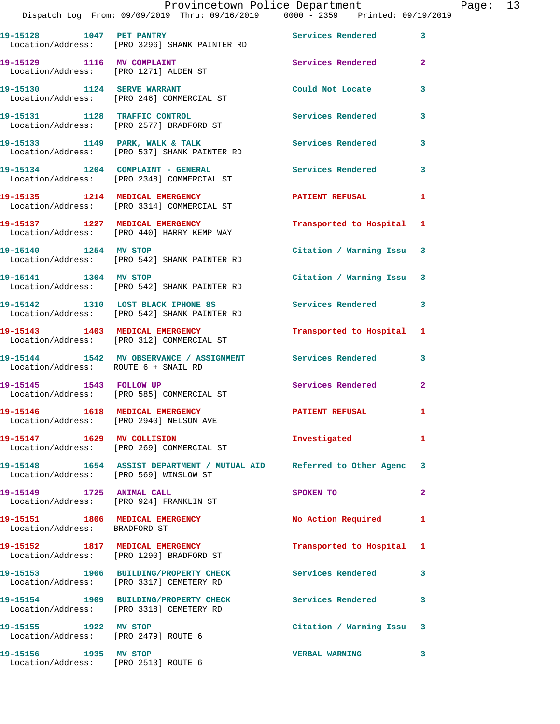| 19-15128 1047 PET PANTRY<br>Location/Address: [PRO 3296] SHANK PAINTER RD          | Services Rendered 3       |                                                                                                                                                                                                                                                                         |
|------------------------------------------------------------------------------------|---------------------------|-------------------------------------------------------------------------------------------------------------------------------------------------------------------------------------------------------------------------------------------------------------------------|
| 19-15129 1116 MV COMPLAINT<br>Location/Address: [PRO 1271] ALDEN ST                | Services Rendered         | $\mathbf{2}$                                                                                                                                                                                                                                                            |
| 19-15130 1124 SERVE WARRANT<br>Location/Address: [PRO 246] COMMERCIAL ST           |                           | 3                                                                                                                                                                                                                                                                       |
| 19-15131 1128 TRAFFIC CONTROL<br>Location/Address: [PRO 2577] BRADFORD ST          |                           | 3                                                                                                                                                                                                                                                                       |
| 19-15133 1149 PARK, WALK & TALK<br>Location/Address: [PRO 537] SHANK PAINTER RD    |                           | 3                                                                                                                                                                                                                                                                       |
| 19-15134 1204 COMPLAINT - GENERAL<br>Location/Address: [PRO 2348] COMMERCIAL ST    | Services Rendered         | 3                                                                                                                                                                                                                                                                       |
| 19-15135 1214 MEDICAL EMERGENCY<br>Location/Address: [PRO 3314] COMMERCIAL ST      | <b>PATIENT REFUSAL</b>    | $\mathbf{1}$                                                                                                                                                                                                                                                            |
| 19-15137 1227 MEDICAL EMERGENCY<br>Location/Address: [PRO 440] HARRY KEMP WAY      | Transported to Hospital 1 |                                                                                                                                                                                                                                                                         |
| 19-15140 1254 MV STOP<br>Location/Address: [PRO 542] SHANK PAINTER RD              | Citation / Warning Issu 3 |                                                                                                                                                                                                                                                                         |
| 19-15141 1304 MV STOP<br>Location/Address: [PRO 542] SHANK PAINTER RD              | Citation / Warning Issu 3 |                                                                                                                                                                                                                                                                         |
| 19-15142 1310 LOST BLACK IPHONE 8S<br>Location/Address: [PRO 542] SHANK PAINTER RD | Services Rendered         | $\mathbf{3}$                                                                                                                                                                                                                                                            |
| 19-15143 1403 MEDICAL EMERGENCY<br>Location/Address: [PRO 312] COMMERCIAL ST       | Transported to Hospital 1 |                                                                                                                                                                                                                                                                         |
| 19-15144 1542 MV OBSERVANCE / ASSIGNMENT<br>Location/Address: ROUTE 6 + SNAIL RD   |                           | 3                                                                                                                                                                                                                                                                       |
| 19-15145   1543   FOLLOW UP<br>Location/Address: [PRO 585] COMMERCIAL ST           |                           | $\mathbf{2}$                                                                                                                                                                                                                                                            |
| 19-15146 1618 MEDICAL EMERGENCY<br>Location/Address: [PRO 2940] NELSON AVE         |                           | 1                                                                                                                                                                                                                                                                       |
| 19-15147 1629 MV COLLISION<br>Location/Address: [PRO 269] COMMERCIAL ST            | Investigated              | $\mathbf{1}$                                                                                                                                                                                                                                                            |
| Location/Address: [PRO 569] WINSLOW ST                                             |                           |                                                                                                                                                                                                                                                                         |
| 19-15149 1725 ANIMAL CALL<br>Location/Address: [PRO 924] FRANKLIN ST               | SPOKEN TO                 | $\overline{2}$                                                                                                                                                                                                                                                          |
| 19-15151 1806 MEDICAL EMERGENCY<br>Location/Address: BRADFORD ST                   | No Action Required        | $\mathbf{1}$                                                                                                                                                                                                                                                            |
| 19-15152 1817 MEDICAL EMERGENCY<br>Location/Address: [PRO 1290] BRADFORD ST        | Transported to Hospital 1 |                                                                                                                                                                                                                                                                         |
| 19-15153 1906 BUILDING/PROPERTY CHECK<br>Location/Address: [PRO 3317] CEMETERY RD  |                           | 3                                                                                                                                                                                                                                                                       |
| 19-15154 1909 BUILDING/PROPERTY CHECK<br>Location/Address: [PRO 3318] CEMETERY RD  |                           | $\mathbf{3}$                                                                                                                                                                                                                                                            |
| 19-15155 1922 MV STOP<br>Location/Address: [PRO 2479] ROUTE 6                      | Citation / Warning Issu 3 |                                                                                                                                                                                                                                                                         |
| 19-15156 1935 MV STOP<br>Location/Address: [PRO 2513] ROUTE 6                      | <b>VERBAL WARNING</b>     | $\overline{\mathbf{3}}$                                                                                                                                                                                                                                                 |
|                                                                                    |                           | Could Not Locate<br><b>Services Rendered</b><br><b>Services Rendered</b><br>Services Rendered<br><b>Services Rendered</b><br><b>PATIENT REFUSAL</b><br>19-15148 1654 ASSIST DEPARTMENT / MUTUAL AID Referred to Other Agenc 3<br>Services Rendered<br>Services Rendered |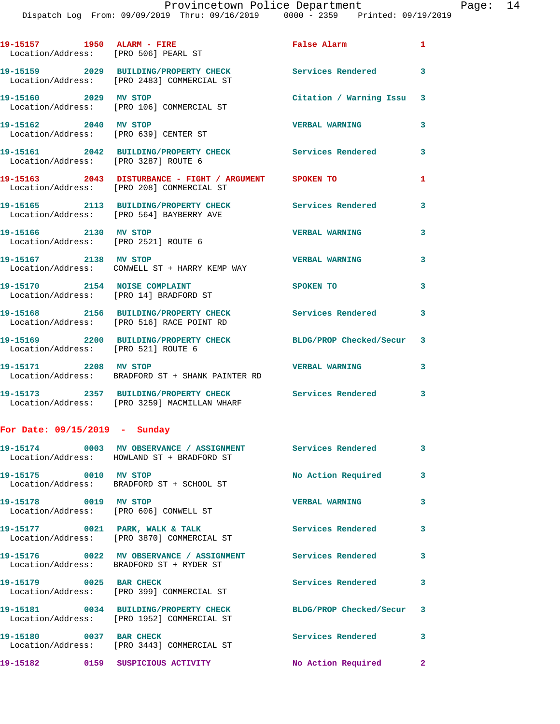| 19-15157 1950 ALARM - FIRE                                    | Location/Address: [PRO 506] PEARL ST                                                                      | False Alarm               | $\mathbf{1}$ |
|---------------------------------------------------------------|-----------------------------------------------------------------------------------------------------------|---------------------------|--------------|
|                                                               | 19-15159 2029 BUILDING/PROPERTY CHECK<br>Location/Address: [PRO 2483] COMMERCIAL ST                       | Services Rendered         | 3            |
| 19-15160 2029 MV STOP                                         | Location/Address: [PRO 106] COMMERCIAL ST                                                                 | Citation / Warning Issu 3 |              |
| 19-15162 2040 MV STOP                                         | Location/Address: [PRO 639] CENTER ST                                                                     | <b>VERBAL WARNING</b>     | 3            |
| Location/Address: [PRO 3287] ROUTE 6                          | 19-15161 2042 BUILDING/PROPERTY CHECK Services Rendered                                                   |                           | 3            |
|                                                               | 19-15163 2043 DISTURBANCE - FIGHT / ARGUMENT SPOKEN TO<br>Location/Address: [PRO 208] COMMERCIAL ST       |                           | 1            |
|                                                               | 19-15165 2113 BUILDING/PROPERTY CHECK<br>Location/Address: [PRO 564] BAYBERRY AVE                         | <b>Services Rendered</b>  | 3            |
| 19-15166 2130 MV STOP<br>Location/Address: [PRO 2521] ROUTE 6 |                                                                                                           | <b>VERBAL WARNING</b>     | 3            |
| 19-15167 2138 MV STOP                                         | Location/Address: CONWELL ST + HARRY KEMP WAY                                                             | <b>VERBAL WARNING</b>     | 3            |
| 19-15170 2154 NOISE COMPLAINT                                 | Location/Address: [PRO 14] BRADFORD ST                                                                    | SPOKEN TO                 | 3            |
|                                                               | 19-15168 2156 BUILDING/PROPERTY CHECK<br>Location/Address: [PRO 516] RACE POINT RD                        | Services Rendered         | 3            |
| Location/Address: [PRO 521] ROUTE 6                           | 19-15169 2200 BUILDING/PROPERTY CHECK                                                                     | BLDG/PROP Checked/Secur 3 |              |
| 19-15171 2208 MV STOP                                         | Location/Address: BRADFORD ST + SHANK PAINTER RD                                                          | <b>VERBAL WARNING</b>     | 3            |
|                                                               | 19-15173 2357 BUILDING/PROPERTY CHECK Services Rendered 3<br>Location/Address: [PRO 3259] MACMILLAN WHARF |                           |              |
| For Date: $09/15/2019$ - Sunday                               |                                                                                                           |                           |              |
|                                                               | 19-15174 0003 MV OBSERVANCE / ASSIGNMENT<br>Location/Address: HOWLAND ST + BRADFORD ST                    | Services Rendered         | 3            |
| 19-15175 0010 MV STOP                                         | Location/Address: BRADFORD ST + SCHOOL ST                                                                 | No Action Required        | 3            |
| 19-15178 0019 MV STOP                                         | Location/Address: [PRO 606] CONWELL ST                                                                    | <b>VERBAL WARNING</b>     | 3            |
| 19-15177 0021 PARK, WALK & TALK                               | Location/Address: [PRO 3870] COMMERCIAL ST                                                                | Services Rendered         | 3            |
|                                                               |                                                                                                           |                           |              |

**19-15176 0022 MV OBSERVANCE / ASSIGNMENT Services Rendered 3**  Location/Address: BRADFORD ST + RYDER ST 19-15179 0025 BAR CHECK Services Rendered 3 Location/Address: [PRO 399] COMMERCIAL ST

**19-15181 0034 BUILDING/PROPERTY CHECK BLDG/PROP Checked/Secur 3**  Location/Address: [PRO 1952] COMMERCIAL ST **19-15180 0037 BAR CHECK Services Rendered 3**  Location/Address: [PRO 3443] COMMERCIAL ST **19-15182 0159 SUSPICIOUS ACTIVITY No Action Required 2**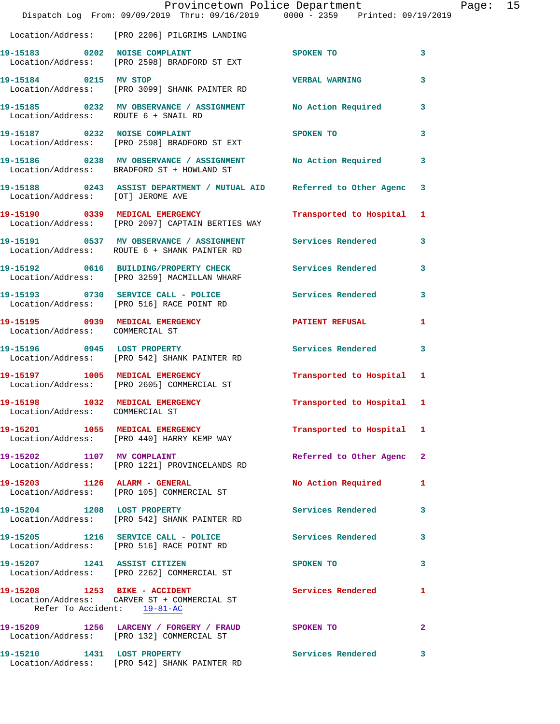|                                                                    | Dispatch Log From: 09/09/2019 Thru: 09/16/2019 0000 - 2359 Printed: 09/19/2019                               | Provincetown Police Department          | Page: 15                |
|--------------------------------------------------------------------|--------------------------------------------------------------------------------------------------------------|-----------------------------------------|-------------------------|
|                                                                    | Location/Address: [PRO 2206] PILGRIMS LANDING                                                                |                                         |                         |
|                                                                    | 19-15183 0202 NOISE COMPLAINT SPOKEN TO<br>Location/Address: [PRO 2598] BRADFORD ST EXT                      |                                         | $\mathbf{3}$            |
|                                                                    | 19-15184 0215 MV STOP<br>Location/Address: [PRO 3099] SHANK PAINTER RD                                       | <b>VERBAL WARNING</b>                   | $\overline{\mathbf{3}}$ |
| Location/Address: ROUTE 6 + SNAIL RD                               | 19-15185 0232 MV OBSERVANCE / ASSIGNMENT No Action Required 3                                                |                                         |                         |
|                                                                    | 19-15187 0232 NOISE COMPLAINT<br>Location/Address: [PRO 2598] BRADFORD ST EXT                                | SPOKEN TO DESCRIPTION OF REAL PROPERTY. | $\mathbf{3}$            |
|                                                                    |                                                                                                              |                                         |                         |
|                                                                    | 19-15188 0243 ASSIST DEPARTMENT / MUTUAL AID Referred to Other Agenc 3<br>Location/Address: [OT] JEROME AVE  |                                         |                         |
|                                                                    | 19-15190 0339 MEDICAL EMERGENCY<br>Location/Address: [PRO 2097] CAPTAIN BERTIES WAY                          | Transported to Hospital 1               |                         |
|                                                                    | 19-15191 0537 MV OBSERVANCE / ASSIGNMENT Services Rendered 3<br>Location/Address: ROUTE 6 + SHANK PAINTER RD |                                         |                         |
|                                                                    | 19-15192 0616 BUILDING/PROPERTY CHECK Services Rendered 3<br>Location/Address: [PRO 3259] MACMILLAN WHARF    |                                         |                         |
|                                                                    | 19-15193 0730 SERVICE CALL - POLICE Services Rendered 3<br>Location/Address: [PRO 516] RACE POINT RD         |                                         |                         |
| Location/Address: COMMERCIAL ST                                    |                                                                                                              |                                         | $\mathbf{1}$            |
|                                                                    | 19-15196 0945 LOST PROPERTY<br>Location/Address: [PRO 542] SHANK PAINTER RD                                  | Services Rendered 3                     |                         |
|                                                                    | 19-15197 1005 MEDICAL EMERGENCY<br>Location/Address: [PRO 2605] COMMERCIAL ST                                | Transported to Hospital 1               |                         |
| 19-15198 1032 MEDICAL EMERGENCY<br>Location/Address: COMMERCIAL ST |                                                                                                              | Transported to Hospital 1               |                         |
|                                                                    | 19-15201 1055 MEDICAL EMERGENCY<br>Location/Address: [PRO 440] HARRY KEMP WAY                                | Transported to Hospital 1               |                         |
|                                                                    | 19-15202 1107 MV COMPLAINT<br>Location/Address: [PRO 1221] PROVINCELANDS RD                                  | Referred to Other Agenc 2               |                         |
|                                                                    | 19-15203 1126 ALARM - GENERAL<br>Location/Address: [PRO 105] COMMERCIAL ST                                   | No Action Required                      | 1                       |
|                                                                    | 19-15204 1208 LOST PROPERTY<br>Location/Address: [PRO 542] SHANK PAINTER RD                                  | Services Rendered                       | $\mathbf{3}$            |
|                                                                    | 19-15205 1216 SERVICE CALL - POLICE<br>Location/Address: [PRO 516] RACE POINT RD                             | <b>Services Rendered</b>                | $\mathbf{3}$            |
|                                                                    | 19-15207 1241 ASSIST CITIZEN<br>Location/Address: [PRO 2262] COMMERCIAL ST                                   | SPOKEN TO                               | $\mathbf{3}$            |
|                                                                    | 19-15208 1253 BIKE - ACCIDENT<br>Location/Address: CARVER ST + COMMERCIAL ST<br>Refer To Accident: 19-81-AC  | Services Rendered                       | 1                       |
|                                                                    | 19-15209 1256 LARCENY / FORGERY / FRAUD<br>Location/Address: [PRO 132] COMMERCIAL ST                         | SPOKEN TO DESCRIPTION OF REAL PROPERTY. | $\overline{2}$          |
|                                                                    | 19-15210 1431 LOST PROPERTY<br>Location/Address: [PRO 542] SHANK PAINTER RD                                  | Services Rendered 3                     |                         |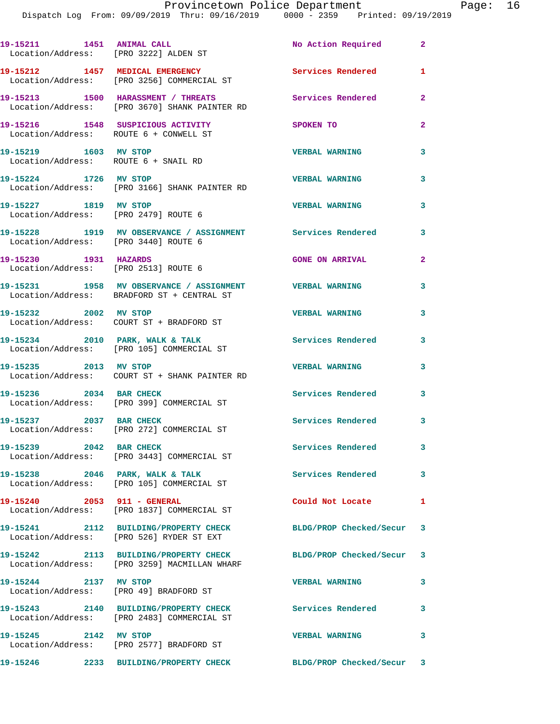| 19-15211 1451 ANIMAL CALL                                     | Location/Address: [PRO 3222] ALDEN ST                                                                 | No Action Required        | $\mathbf{2}$   |
|---------------------------------------------------------------|-------------------------------------------------------------------------------------------------------|---------------------------|----------------|
|                                                               | 19-15212 1457 MEDICAL EMERGENCY<br>Location/Address: [PRO 3256] COMMERCIAL ST                         | <b>Services Rendered</b>  | 1              |
|                                                               | 19-15213 1500 HARASSMENT / THREATS<br>Location/Address: [PRO 3670] SHANK PAINTER RD                   | Services Rendered         | $\overline{2}$ |
| Location/Address: ROUTE 6 + CONWELL ST                        | 19-15216 1548 SUSPICIOUS ACTIVITY                                                                     | SPOKEN TO                 | $\mathbf{2}$   |
| 19-15219 1603 MV STOP                                         | Location/Address: ROUTE 6 + SNAIL RD                                                                  | <b>VERBAL WARNING</b>     | 3              |
| 19-15224 1726 MV STOP                                         | Location/Address: [PRO 3166] SHANK PAINTER RD                                                         | <b>VERBAL WARNING</b>     | 3              |
| 19-15227 1819 MV STOP                                         | Location/Address: [PRO 2479] ROUTE 6                                                                  | <b>VERBAL WARNING</b>     | 3              |
| Location/Address: [PRO 3440] ROUTE 6                          | 19-15228 1919 MV OBSERVANCE / ASSIGNMENT Services Rendered                                            |                           | 3              |
| 19-15230 1931 HAZARDS<br>Location/Address: [PRO 2513] ROUTE 6 |                                                                                                       | <b>GONE ON ARRIVAL</b>    | $\mathbf{2}$   |
|                                                               | 19-15231 1958 MV OBSERVANCE / ASSIGNMENT VERBAL WARNING<br>Location/Address: BRADFORD ST + CENTRAL ST |                           | 3              |
| 19-15232 2002 MV STOP                                         | Location/Address: COURT ST + BRADFORD ST                                                              | <b>VERBAL WARNING</b>     | 3              |
|                                                               | 19-15234 2010 PARK, WALK & TALK<br>Location/Address: [PRO 105] COMMERCIAL ST                          | <b>Services Rendered</b>  | 3              |
| 19-15235 2013 MV STOP                                         | Location/Address: COURT ST + SHANK PAINTER RD                                                         | <b>VERBAL WARNING</b>     | 3              |
| 19-15236 2034 BAR CHECK                                       | Location/Address: [PRO 399] COMMERCIAL ST                                                             | Services Rendered 3       |                |
| 19-15237 2037 BAR CHECK                                       | Location/Address: [PRO 272] COMMERCIAL ST                                                             | Services Rendered         | 3              |
| 19-15239 2042 BAR CHECK                                       | Location/Address: [PRO 3443] COMMERCIAL ST                                                            | <b>Services Rendered</b>  | 3              |
|                                                               | 19-15238 2046 PARK, WALK & TALK<br>Location/Address: [PRO 105] COMMERCIAL ST                          | Services Rendered 3       |                |
|                                                               | 19-15240 2053 911 - GENERAL<br>Location/Address: [PRO 1837] COMMERCIAL ST                             | Could Not Locate          | $\mathbf{1}$   |
|                                                               | 19-15241 2112 BUILDING/PROPERTY CHECK<br>Location/Address: [PRO 526] RYDER ST EXT                     | BLDG/PROP Checked/Secur 3 |                |
|                                                               | 19-15242 2113 BUILDING/PROPERTY CHECK<br>Location/Address: [PRO 3259] MACMILLAN WHARF                 | BLDG/PROP Checked/Secur 3 |                |
| 19-15244 2137 MV STOP                                         | Location/Address: [PRO 49] BRADFORD ST                                                                | <b>VERBAL WARNING</b>     | 3              |
|                                                               | 19-15243 2140 BUILDING/PROPERTY CHECK<br>Location/Address: [PRO 2483] COMMERCIAL ST                   | <b>Services Rendered</b>  | 3              |
| 19-15245 2142 MV STOP                                         | Location/Address: [PRO 2577] BRADFORD ST                                                              | <b>VERBAL WARNING</b>     | 3              |
|                                                               | 19-15246 2233 BUILDING/PROPERTY CHECK                                                                 | BLDG/PROP Checked/Secur 3 |                |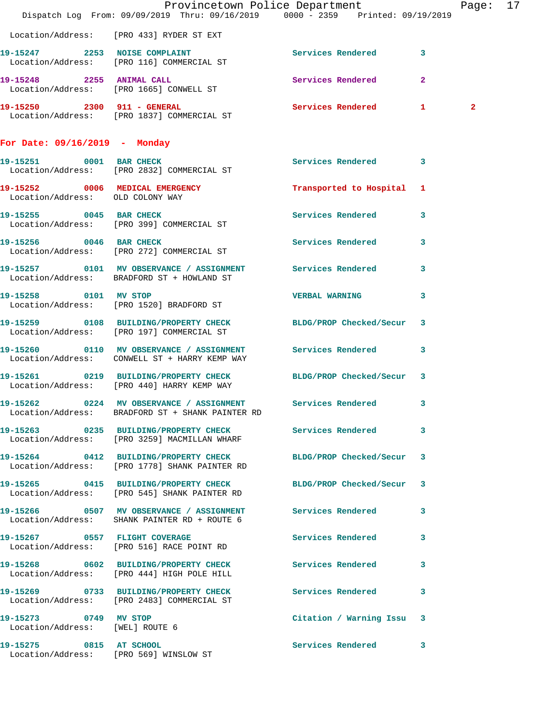|                                                          | Dispatch Log From: 09/09/2019 Thru: 09/16/2019 0000 - 2359 Printed: 09/19/2019                                   | Provincetown Police Department | Page: 17       |  |
|----------------------------------------------------------|------------------------------------------------------------------------------------------------------------------|--------------------------------|----------------|--|
|                                                          | Location/Address: [PRO 433] RYDER ST EXT                                                                         |                                |                |  |
|                                                          | 19-15247 2253 NOISE COMPLAINT<br>Location/Address: [PRO 116] COMMERCIAL ST                                       | Services Rendered 3            |                |  |
|                                                          | 19-15248 2255 ANIMAL CALL<br>Location/Address: [PRO 1665] CONWELL ST                                             | Services Rendered 2            |                |  |
|                                                          | 19-15250 2300 911 - GENERAL<br>Location/Address: [PRO 1837] COMMERCIAL ST                                        | Services Rendered 1            | $\overline{2}$ |  |
| For Date: $09/16/2019$ - Monday                          |                                                                                                                  |                                |                |  |
|                                                          | 19-15251 0001 BAR CHECK<br>Location/Address: [PRO 2832] COMMERCIAL ST                                            | Services Rendered 3            |                |  |
| Location/Address: OLD COLONY WAY                         | 19-15252 0006 MEDICAL EMERGENCY Transported to Hospital 1                                                        |                                |                |  |
|                                                          | 19-15255 0045 BAR CHECK<br>Location/Address: [PRO 399] COMMERCIAL ST                                             | Services Rendered 3            |                |  |
|                                                          | 19-15256 0046 BAR CHECK<br>Location/Address: [PRO 272] COMMERCIAL ST                                             | Services Rendered 3            |                |  |
|                                                          | 19-15257 0101 MV OBSERVANCE / ASSIGNMENT Services Rendered 3<br>Location/Address: BRADFORD ST + HOWLAND ST       |                                |                |  |
|                                                          | 19-15258 0101 MV STOP<br>Location/Address: [PRO 1520] BRADFORD ST                                                | VERBAL WARNING 3               |                |  |
|                                                          | 19-15259 0108 BUILDING/PROPERTY CHECK BLDG/PROP Checked/Secur 3<br>Location/Address: [PRO 197] COMMERCIAL ST     |                                |                |  |
|                                                          | 19-15260 0110 MV OBSERVANCE / ASSIGNMENT Services Rendered 3<br>Location/Address: CONWELL ST + HARRY KEMP WAY    |                                |                |  |
|                                                          | 19-15261 0219 BUILDING/PROPERTY CHECK BLDG/PROP Checked/Secur 3<br>Location/Address: [PRO 440] HARRY KEMP WAY    |                                |                |  |
|                                                          | 19-15262 0224 MV OBSERVANCE / ASSIGNMENT Services Rendered 3<br>Location/Address: BRADFORD ST + SHANK PAINTER RD |                                |                |  |
|                                                          | 19-15263 0235 BUILDING/PROPERTY CHECK Services Rendered 3<br>Location/Address: [PRO 3259] MACMILLAN WHARF        |                                |                |  |
|                                                          | 19-15264 0412 BUILDING/PROPERTY CHECK BLDG/PROP Checked/Secur 3<br>Location/Address: [PRO 1778] SHANK PAINTER RD |                                |                |  |
|                                                          | 19-15265 0415 BUILDING/PROPERTY CHECK BLDG/PROP Checked/Secur 3<br>Location/Address: [PRO 545] SHANK PAINTER RD  |                                |                |  |
|                                                          | 19-15266 0507 MV OBSERVANCE / ASSIGNMENT Services Rendered 3<br>Location/Address: SHANK PAINTER RD + ROUTE 6     |                                |                |  |
|                                                          | 19-15267 0557 FLIGHT COVERAGE<br>Location/Address: [PRO 516] RACE POINT RD                                       | Services Rendered 3            |                |  |
|                                                          | 19-15268 0602 BUILDING/PROPERTY CHECK Services Rendered 3<br>Location/Address: [PRO 444] HIGH POLE HILL          |                                |                |  |
|                                                          | 19-15269 0733 BUILDING/PROPERTY CHECK<br>Location/Address: [PRO 2483] COMMERCIAL ST                              | Services Rendered 3            |                |  |
| 19-15273 0749 MV STOP<br>Location/Address: [WEL] ROUTE 6 |                                                                                                                  | Citation / Warning Issu 3      |                |  |
| 19-15275 0815 AT SCHOOL                                  | Location/Address: [PRO 569] WINSLOW ST                                                                           | Services Rendered 3            |                |  |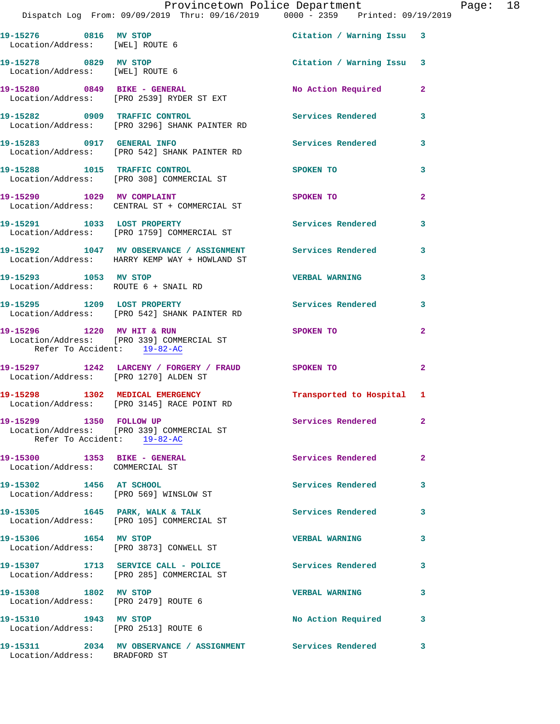|                                                                 | Provincetown Police Department Fage: 18<br>Dispatch Log From: 09/09/2019 Thru: 09/16/2019 0000 - 2359 Printed: 09/19/2019 |                           |                |  |
|-----------------------------------------------------------------|---------------------------------------------------------------------------------------------------------------------------|---------------------------|----------------|--|
| Location/Address: [WEL] ROUTE 6                                 | 19-15276 0816 MV STOP                                                                                                     | Citation / Warning Issu 3 |                |  |
| Location/Address: [WEL] ROUTE 6                                 | 19-15278 0829 MV STOP                                                                                                     | Citation / Warning Issu 3 |                |  |
|                                                                 | 19-15280 0849 BIKE - GENERAL<br>Location/Address: [PRO 2539] RYDER ST EXT                                                 | No Action Required 2      |                |  |
|                                                                 | 19-15282     0909   TRAFFIC CONTROL<br>Location/Address:   [PRO 3296] SHANK PAINTER RD                                    | Services Rendered         | $\mathbf{3}$   |  |
|                                                                 | 19-15283 0917 GENERAL INFO<br>Location/Address: [PRO 542] SHANK PAINTER RD                                                | Services Rendered 3       |                |  |
|                                                                 | 19-15288 1015 TRAFFIC CONTROL<br>Location/Address: [PRO 308] COMMERCIAL ST                                                | SPOKEN TO                 | 3              |  |
|                                                                 | 19-15290 1029 MV COMPLAINT<br>Location/Address: CENTRAL ST + COMMERCIAL ST                                                | <b>SPOKEN TO</b>          | $\overline{a}$ |  |
|                                                                 | 19-15291 1033 LOST PROPERTY<br>Location/Address: [PRO 1759] COMMERCIAL ST                                                 | Services Rendered         | 3              |  |
|                                                                 | 19-15292 1047 MV OBSERVANCE / ASSIGNMENT Services Rendered 3<br>Location/Address: HARRY KEMP WAY + HOWLAND ST             |                           |                |  |
| Location/Address: ROUTE 6 + SNAIL RD                            | 19-15293 1053 MV STOP                                                                                                     | <b>VERBAL WARNING</b>     | 3              |  |
|                                                                 | 19-15295 1209 LOST PROPERTY<br>Location/Address: [PRO 542] SHANK PAINTER RD                                               | Services Rendered 3       |                |  |
| Refer To Accident: 19-82-AC                                     | 19-15296 1220 MV HIT & RUN<br>Location/Address: [PRO 339] COMMERCIAL ST                                                   | SPOKEN TO                 | $\mathbf{2}$   |  |
| Location/Address: [PRO 1270] ALDEN ST                           | 19-15297 1242 LARCENY / FORGERY / FRAUD SPOKEN TO                                                                         |                           | $\mathbf{2}$   |  |
|                                                                 | 19-15298 1302 MEDICAL EMERGENCY<br>Location/Address: [PRO 3145] RACE POINT RD                                             | Transported to Hospital 1 |                |  |
| 19-15299 1350 FOLLOW UP<br>Refer To Accident: 19-82-AC          | Location/Address: [PRO 339] COMMERCIAL ST                                                                                 | Services Rendered         | $\mathbf{2}$   |  |
| 19-15300 1353 BIKE - GENERAL<br>Location/Address: COMMERCIAL ST |                                                                                                                           | Services Rendered         | 2              |  |
|                                                                 | 19-15302 1456 AT SCHOOL<br>Location/Address: [PRO 569] WINSLOW ST                                                         | Services Rendered         | 3              |  |
|                                                                 | 19-15305 1645 PARK, WALK & TALK<br>Location/Address: [PRO 105] COMMERCIAL ST                                              | <b>Services Rendered</b>  | 3              |  |
| 19-15306 1654 MV STOP                                           | Location/Address: [PRO 3873] CONWELL ST                                                                                   | <b>VERBAL WARNING</b>     | 3              |  |
|                                                                 | 19-15307 1713 SERVICE CALL - POLICE<br>Location/Address: [PRO 285] COMMERCIAL ST                                          | Services Rendered         | 3              |  |
| 19-15308 1802 MV STOP<br>Location/Address: [PRO 2479] ROUTE 6   |                                                                                                                           | <b>VERBAL WARNING</b>     | 3              |  |
| 19-15310 1943 MV STOP<br>Location/Address: [PRO 2513] ROUTE 6   |                                                                                                                           | No Action Required 3      |                |  |
|                                                                 |                                                                                                                           |                           |                |  |

Location/Address: BRADFORD ST